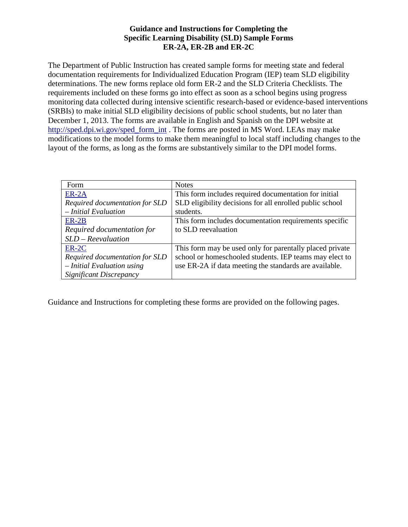## **Guidance and Instructions for Completing the Specific Learning Disability (SLD) Sample Forms ER-2A, ER-2B and ER-2C**

The Department of Public Instruction has created sample forms for meeting state and federal documentation requirements for Individualized Education Program (IEP) team SLD eligibility determinations. The new forms replace old form ER-2 and the SLD Criteria Checklists. The requirements included on these forms go into effect as soon as a school begins using progress monitoring data collected during intensive scientific research-based or evidence-based interventions (SRBIs) to make initial SLD eligibility decisions of public school students, but no later than December 1, 2013. The forms are available in English and Spanish on the DPI website at [http://sped.dpi.wi.gov/sped\\_form\\_int](http://sped.dpi.wi.gov/sped_form_int) . The forms are posted in MS Word. LEAs may make modifications to the model forms to make them meaningful to local staff including changes to the layout of the forms, as long as the forms are substantively similar to the DPI model forms.

| Form                           | <b>Notes</b>                                             |  |  |
|--------------------------------|----------------------------------------------------------|--|--|
| $ER-2A$                        | This form includes required documentation for initial    |  |  |
| Required documentation for SLD | SLD eligibility decisions for all enrolled public school |  |  |
| $-$ Initial Evaluation         | students.                                                |  |  |
| $ER-2B$                        | This form includes documentation requirements specific   |  |  |
| Required documentation for     | to SLD reevaluation                                      |  |  |
| $SLD - Reevaluation$           |                                                          |  |  |
| $ER-2C$                        | This form may be used only for parentally placed private |  |  |
| Required documentation for SLD | school or homeschooled students. IEP teams may elect to  |  |  |
| $-$ Initial Evaluation using   | use ER-2A if data meeting the standards are available.   |  |  |
| Significant Discrepancy        |                                                          |  |  |

Guidance and Instructions for completing these forms are provided on the following pages.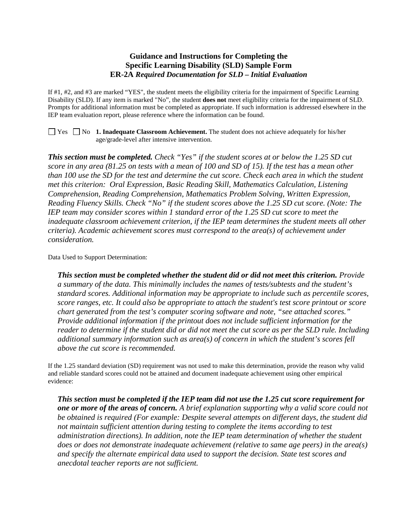## **Guidance and Instructions for Completing the Specific Learning Disability (SLD) Sample Form ER-2A** *Required Documentation for SLD – Initial Evaluation*

If #1, #2, and #3 are marked "YES", the student meets the eligibility criteria for the impairment of Specific Learning Disability (SLD). If any item is marked "No", the student **does not** meet eligibility criteria for the impairment of SLD. Prompts for additional information must be completed as appropriate. If such information is addressed elsewhere in the IEP team evaluation report, please reference where the information can be found.

■ Yes ■ No **1. Inadequate Classroom Achievement.** The student does not achieve adequately for his/her age/grade-level after intensive intervention.

*This section must be completed. Check "Yes" if the student scores at or below the 1.25 SD cut score in any area (81.25 on tests with a mean of 100 and SD of 15). If the test has a mean other than 100 use the SD for the test and determine the cut score. Check each area in which the student met this criterion: Oral Expression, Basic Reading Skill, Mathematics Calculation, Listening Comprehension, Reading Comprehension, Mathematics Problem Solving, Written Expression, Reading Fluency Skills. Check "No" if the student scores above the 1.25 SD cut score. (Note: The IEP team may consider scores within 1 standard error of the 1.25 SD cut score to meet the inadequate classroom achievement criterion, if the IEP team determines the student meets all other criteria). Academic achievement scores must correspond to the area(s) of achievement under consideration.*

Data Used to Support Determination:

*This section must be completed whether the student did or did not meet this criterion. Provide a summary of the data. This minimally includes the names of tests/subtests and the student's standard scores. Additional information may be appropriate to include such as percentile scores, score ranges, etc. It could also be appropriate to attach the student's test score printout or score chart generated from the test's computer scoring software and note, "see attached scores." Provide additional information if the printout does not include sufficient information for the reader to determine if the student did or did not meet the cut score as per the SLD rule. Including additional summary information such as area(s) of concern in which the student's scores fell above the cut score is recommended.*

If the 1.25 standard deviation (SD) requirement was not used to make this determination, provide the reason why valid and reliable standard scores could not be attained and document inadequate achievement using other empirical evidence:

*This section must be completed if the IEP team did not use the 1.25 cut score requirement for one or more of the areas of concern. A brief explanation supporting why a valid score could not be obtained is required (For example: Despite several attempts on different days, the student did not maintain sufficient attention during testing to complete the items according to test administration directions). In addition, note the IEP team determination of whether the student does or does not demonstrate inadequate achievement (relative to same age peers) in the area(s) and specify the alternate empirical data used to support the decision. State test scores and anecdotal teacher reports are not sufficient.*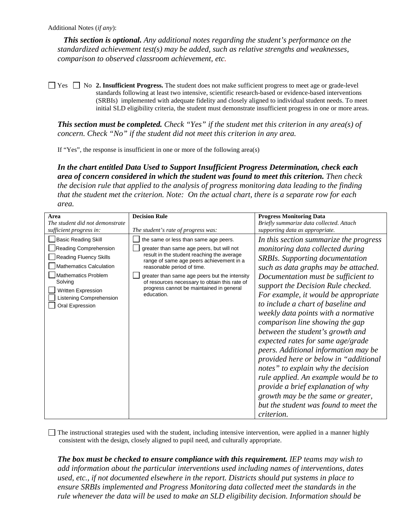*This section is optional. Any additional notes regarding the student's performance on the standardized achievement test(s) may be added, such as relative strengths and weaknesses, comparison to observed classroom achievement, etc.* 

 $\Box$  Yes  $\Box$  No **2. Insufficient Progress.** The student does not make sufficient progress to meet age or grade-level standards following at least two intensive, scientific research-based or evidence-based interventions (SRBIs) implemented with adequate fidelity and closely aligned to individual student needs. To meet initial SLD eligibility criteria, the student must demonstrate insufficient progress in one or more areas.

*This section must be completed. Check "Yes" if the student met this criterion in any area(s) of concern. Check "No" if the student did not meet this criterion in any area.* 

If "Yes", the response is insufficient in one or more of the following area(s)

*In the chart entitled Data Used to Support Insufficient Progress Determination, check each area of concern considered in which the student was found to meet this criterion. Then check the decision rule that applied to the analysis of progress monitoring data leading to the finding that the student met the criterion. Note: On the actual chart, there is a separate row for each area.* 

| Area                                          | <b>Decision Rule</b>                                                                                                 | <b>Progress Monitoring Data</b>          |
|-----------------------------------------------|----------------------------------------------------------------------------------------------------------------------|------------------------------------------|
| The student did not demonstrate               |                                                                                                                      | Briefly summarize data collected. Attach |
| sufficient progress in:                       | The student's rate of progress was:                                                                                  | supporting data as appropriate.          |
| <b>Basic Reading Skill</b>                    | the same or less than same age peers.                                                                                | In this section summarize the progress   |
| Reading Comprehension                         | greater than same age peers, but will not                                                                            | monitoring data collected during         |
| <b>Reading Fluency Skills</b>                 | result in the student reaching the average<br>range of same age peers achievement in a<br>reasonable period of time. | <b>SRBIs.</b> Supporting documentation   |
| <b>Mathematics Calculation</b>                |                                                                                                                      | such as data graphs may be attached.     |
| <b>Mathematics Problem</b>                    | greater than same age peers but the intensity                                                                        | Documentation must be sufficient to      |
| Solving                                       | of resources necessary to obtain this rate of<br>progress cannot be maintained in general                            | support the Decision Rule checked.       |
| Written Expression<br>Listening Comprehension | education.                                                                                                           | For example, it would be appropriate     |
| Oral Expression                               |                                                                                                                      | to include a chart of baseline and       |
|                                               |                                                                                                                      | weekly data points with a normative      |
|                                               |                                                                                                                      | comparison line showing the gap          |
|                                               |                                                                                                                      | between the student's growth and         |
|                                               |                                                                                                                      | expected rates for same age/grade        |
|                                               |                                                                                                                      | peers. Additional information may be     |
|                                               |                                                                                                                      | provided here or below in "additional    |
|                                               |                                                                                                                      | notes" to explain why the decision       |
|                                               |                                                                                                                      | rule applied. An example would be to     |
|                                               |                                                                                                                      | provide a brief explanation of why       |
|                                               |                                                                                                                      | growth may be the same or greater,       |
|                                               |                                                                                                                      | but the student was found to meet the    |
|                                               |                                                                                                                      | <i>criterion.</i>                        |

The instructional strategies used with the student, including intensive intervention, were applied in a manner highly consistent with the design, closely aligned to pupil need, and culturally appropriate.

*The box must be checked to ensure compliance with this requirement. IEP teams may wish to add information about the particular interventions used including names of interventions, dates used, etc., if not documented elsewhere in the report. Districts should put systems in place to ensure SRBIs implemented and Progress Monitoring data collected meet the standards in the rule whenever the data will be used to make an SLD eligibility decision. Information should be*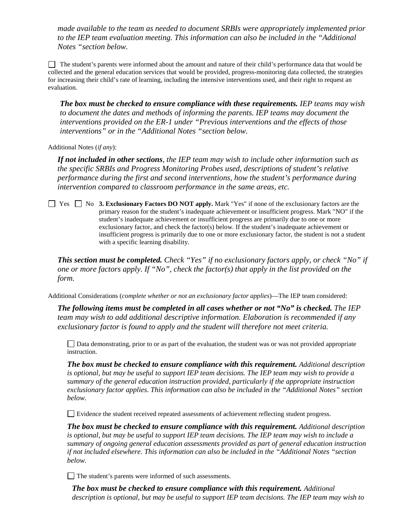*made available to the team as needed to document SRBIs were appropriately implemented prior to the IEP team evaluation meeting. This information can also be included in the "Additional Notes "section below.* 

 The student's parents were informed about the amount and nature of their child's performance data that would be collected and the general education services that would be provided, progress-monitoring data collected, the strategies for increasing their child's rate of learning, including the intensive interventions used, and their right to request an evaluation.

*The box must be checked to ensure compliance with these requirements. IEP teams may wish*  to document the dates and methods of informing the parents. IEP teams may document the *interventions provided on the ER-1 under "Previous interventions and the effects of those interventions" or in the "Additional Notes "section below.* 

Additional Notes (*if any*):

*If not included in other sections, the IEP team may wish to include other information such as the specific SRBIs and Progress Monitoring Probes used, descriptions of student's relative performance during the first and second interventions, how the student's performance during intervention compared to classroom performance in the same areas, etc.* 

■ Yes ■ No **3. Exclusionary Factors DO NOT apply.** Mark "Yes" if none of the exclusionary factors are the primary reason for the student's inadequate achievement or insufficient progress. Mark "NO" if the student's inadequate achievement or insufficient progress are primarily due to one or more exclusionary factor, and check the factor(s) below. If the student's inadequate achievement or insufficient progress is primarily due to one or more exclusionary factor, the student is not a student with a specific learning disability.

*This section must be completed. Check "Yes" if no exclusionary factors apply, or check "No" if one or more factors apply. If "No", check the factor(s) that apply in the list provided on the form.*

Additional Considerations (*complete whether or not an exclusionary factor applies*)—The IEP team considered:

*The following items must be completed in all cases whether or not "No" is checked. The IEP team may wish to add additional descriptive information. Elaboration is recommended if any exclusionary factor is found to apply and the student will therefore not meet criteria.* 

Data demonstrating, prior to or as part of the evaluation, the student was or was not provided appropriate instruction.

*The box must be checked to ensure compliance with this requirement. Additional description is optional, but may be useful to support IEP team decisions. The IEP team may wish to provide a summary of the general education instruction provided, particularly if the appropriate instruction exclusionary factor applies. This information can also be included in the "Additional Notes" section below.* 

Evidence the student received repeated assessments of achievement reflecting student progress.

*The box must be checked to ensure compliance with this requirement. Additional description is optional, but may be useful to support IEP team decisions. The IEP team may wish to include a summary of ongoing general education assessments provided as part of general education instruction if not included elsewhere. This information can also be included in the "Additional Notes "section below.*

The student's parents were informed of such assessments.

*The box must be checked to ensure compliance with this requirement. Additional description is optional, but may be useful to support IEP team decisions. The IEP team may wish to*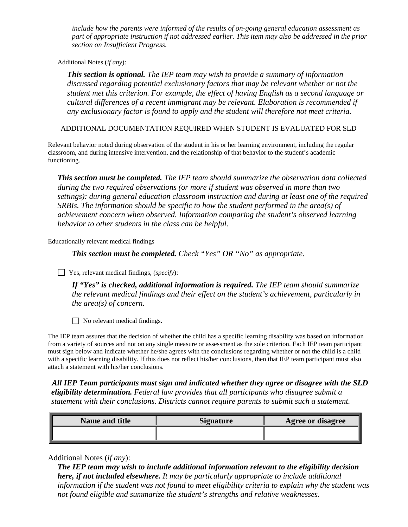*include how the parents were informed of the results of on-going general education assessment as part of appropriate instruction if not addressed earlier. This item may also be addressed in the prior section on Insufficient Progress.* 

Additional Notes (*if any*):

*This section is optional. The IEP team may wish to provide a summary of information discussed regarding potential exclusionary factors that may be relevant whether or not the student met this criterion. For example, the effect of having English as a second language or cultural differences of a recent immigrant may be relevant. Elaboration is recommended if any exclusionary factor is found to apply and the student will therefore not meet criteria.*

ADDITIONAL DOCUMENTATION REQUIRED WHEN STUDENT IS EVALUATED FOR SLD

Relevant behavior noted during observation of the student in his or her learning environment, including the regular classroom, and during intensive intervention, and the relationship of that behavior to the student's academic functioning.

*This section must be completed. The IEP team should summarize the observation data collected during the two required observations (or more if student was observed in more than two settings): during general education classroom instruction and during at least one of the required SRBIs. The information should be specific to how the student performed in the area(s) of achievement concern when observed. Information comparing the student's observed learning behavior to other students in the class can be helpful.* 

Educationally relevant medical findings

*This section must be completed. Check "Yes" OR "No" as appropriate.*

Yes, relevant medical findings, (*specify*):

*If "Yes" is checked, additional information is required. The IEP team should summarize the relevant medical findings and their effect on the student's achievement, particularly in the area(s) of concern.* 

No relevant medical findings.

The IEP team assures that the decision of whether the child has a specific learning disability was based on information from a variety of sources and not on any single measure or assessment as the sole criterion. Each IEP team participant must sign below and indicate whether he/she agrees with the conclusions regarding whether or not the child is a child with a specific learning disability. If this does not reflect his/her conclusions, then that IEP team participant must also attach a statement with his/her conclusions.

 *All IEP Team participants must sign and indicated whether they agree or disagree with the SLD eligibility determination. Federal law provides that all participants who disagree submit a statement with their conclusions. Districts cannot require parents to submit such a statement.* 

| Name and title | Signature | <b>Agree or disagree</b> |
|----------------|-----------|--------------------------|
|                |           |                          |

Additional Notes (*if any*):

*The IEP team may wish to include additional information relevant to the eligibility decision here, if not included elsewhere. It may be particularly appropriate to include additional information if the student was not found to meet eligibility criteria to explain why the student was not found eligible and summarize the student's strengths and relative weaknesses.*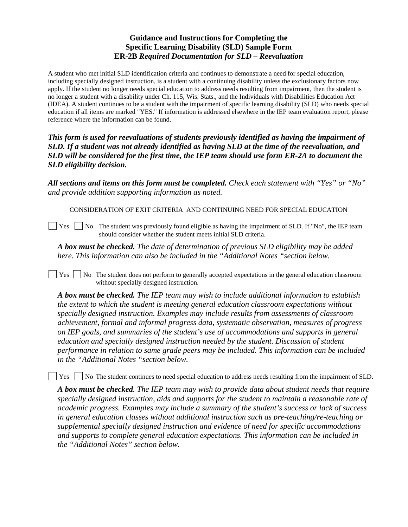# **Guidance and Instructions for Completing the Specific Learning Disability (SLD) Sample Form ER-2B** *Required Documentation for SLD – Reevaluation*

A student who met initial SLD identification criteria and continues to demonstrate a need for special education, including specially designed instruction, is a student with a continuing disability unless the exclusionary factors now apply. If the student no longer needs special education to address needs resulting from impairment, then the student is no longer a student with a disability under Ch. 115, Wis. Stats., and the Individuals with Disabilities Education Act (IDEA). A student continues to be a student with the impairment of specific learning disability (SLD) who needs special education if all items are marked "YES." If information is addressed elsewhere in the IEP team evaluation report, please reference where the information can be found.

*This form is used for reevaluations of students previously identified as having the impairment of SLD. If a student was not already identified as having SLD at the time of the reevaluation, and SLD will be considered for the first time, the IEP team should use form ER-2A to document the SLD eligibility decision.* 

*All sections and items on this form must be completed. Check each statement with "Yes" or "No" and provide addition supporting information as noted.* 

CONSIDERATION OF EXIT CRITERIA AND CONTINUING NEED FOR SPECIAL EDUCATION

 $\vert$  Yes  $\vert$  No The student was previously found eligible as having the impairment of SLD. If "No", the IEP team should consider whether the student meets initial SLD criteria.

*A box must be checked. The date of determination of previous SLD eligibility may be added here. This information can also be included in the "Additional Notes "section below.* 

 $\Box$  Yes  $\Box$  No The student does not perform to generally accepted expectations in the general education classroom without specially designed instruction.

*A box must be checked. The IEP team may wish to include additional information to establish the extent to which the student is meeting general education classroom expectations without specially designed instruction. Examples may include results from assessments of classroom achievement, formal and informal progress data, systematic observation, measures of progress on IEP goals, and summaries of the student's use of accommodations and supports in general education and specially designed instruction needed by the student. Discussion of student performance in relation to same grade peers may be included. This information can be included in the "Additional Notes "section below.* 

**T** Yes **No** The student continues to need special education to address needs resulting from the impairment of SLD.

*A box must be checked. The IEP team may wish to provide data about student needs that require specially designed instruction, aids and supports for the student to maintain a reasonable rate of academic progress. Examples may include a summary of the student's success or lack of success in general education classes without additional instruction such as pre-teaching/re-teaching or supplemental specially designed instruction and evidence of need for specific accommodations and supports to complete general education expectations. This information can be included in the "Additional Notes" section below.*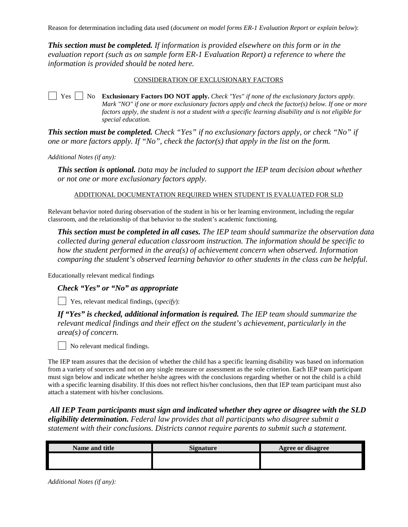Reason for determination including data used (*document on model forms ER-1 Evaluation Report or explain below*):

*This section must be completed. If information is provided elsewhere on this form or in the evaluation report (such as on sample form ER-1 Evaluation Report) a reference to where the information is provided should be noted here.* 

#### CONSIDERATION OF EXCLUSIONARY FACTORS

 $\Box$  Yes  $\Box$  No **Exclusionary Factors DO NOT apply.** *Check "Yes" if none of the exclusionary factors apply. Mark "NO" if one or more exclusionary factors apply and check the factor(s) below. If one or more factors apply, the student is not a student with a specific learning disability and is not eligible for special education.*

*This section must be completed. Check "Yes" if no exclusionary factors apply, or check "No" if one or more factors apply. If "No", check the factor(s) that apply in the list on the form.*

*Additional Notes (if any):*

*This section is optional. Data may be included to support the IEP team decision about whether or not one or more exclusionary factors apply.* 

ADDITIONAL DOCUMENTATION REQUIRED WHEN STUDENT IS EVALUATED FOR SLD

Relevant behavior noted during observation of the student in his or her learning environment, including the regular classroom, and the relationship of that behavior to the student's academic functioning.

*This section must be completed in all cases. The IEP team should summarize the observation data collected during general education classroom instruction. The information should be specific to how the student performed in the area(s) of achievement concern when observed. Information comparing the student's observed learning behavior to other students in the class can be helpful.* 

Educationally relevant medical findings

*Check "Yes" or "No" as appropriate*

Yes, relevant medical findings, (*specify*):

*If "Yes" is checked, additional information is required. The IEP team should summarize the relevant medical findings and their effect on the student's achievement, particularly in the area(s) of concern.* 

No relevant medical findings.

The IEP team assures that the decision of whether the child has a specific learning disability was based on information from a variety of sources and not on any single measure or assessment as the sole criterion. Each IEP team participant must sign below and indicate whether he/she agrees with the conclusions regarding whether or not the child is a child with a specific learning disability. If this does not reflect his/her conclusions, then that IEP team participant must also attach a statement with his/her conclusions.

*All IEP Team participants must sign and indicated whether they agree or disagree with the SLD eligibility determination. Federal law provides that all participants who disagree submit a statement with their conclusions. Districts cannot require parents to submit such a statement.* 

| Name and title | <b>Signature</b> | <b>Agree or disagree</b> |
|----------------|------------------|--------------------------|
|                |                  |                          |
|                |                  |                          |

*Additional Notes (if any):*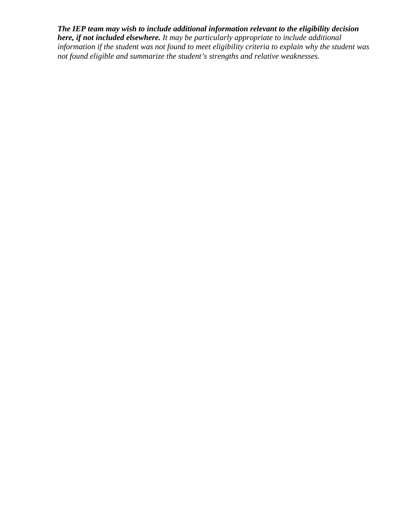*The IEP team may wish to include additional information relevant to the eligibility decision here, if not included elsewhere. It may be particularly appropriate to include additional information if the student was not found to meet eligibility criteria to explain why the student was not found eligible and summarize the student's strengths and relative weaknesses.*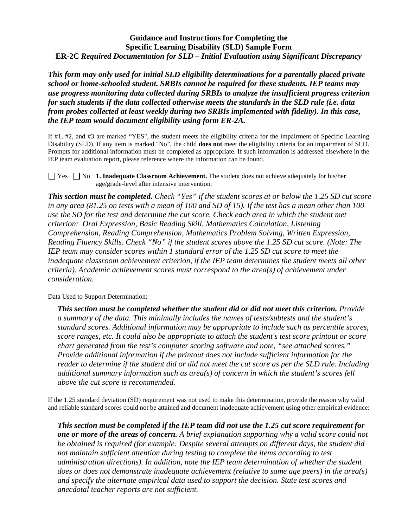### **Guidance and Instructions for Completing the Specific Learning Disability (SLD) Sample Form ER-2C** *Required Documentation for SLD – Initial Evaluation using Significant Discrepancy*

*This form may only used for initial SLD eligibility determinations for a parentally placed private school or home-schooled student. SRBIs cannot be required for these students. IEP teams may use progress monitoring data collected during SRBIs to analyze the insufficient progress criterion for such students if the data collected otherwise meets the standards in the SLD rule (i.e. data from probes collected at least weekly during two SRBIs implemented with fidelity). In this case, the IEP team would document eligibility using form ER-2A.* 

If #1, #2, and #3 are marked "YES", the student meets the eligibility criteria for the impairment of Specific Learning Disability (SLD). If any item is marked "No", the child **does not** meet the eligibility criteria for an impairment of SLD. Prompts for additional information must be completed as appropriate. If such information is addressed elsewhere in the IEP team evaluation report, please reference where the information can be found.

■ Yes ■ No **1. Inadequate Classroom Achievement.** The student does not achieve adequately for his/her age/grade-level after intensive intervention.

*This section must be completed. Check "Yes" if the student scores at or below the 1.25 SD cut score in any area (81.25 on tests with a mean of 100 and SD of 15). If the test has a mean other than 100 use the SD for the test and determine the cut score. Check each area in which the student met criterion: Oral Expression, Basic Reading Skill, Mathematics Calculation, Listening Comprehension, Reading Comprehension, Mathematics Problem Solving, Written Expression, Reading Fluency Skills. Check "No" if the student scores above the 1.25 SD cut score. (Note: The IEP team may consider scores within 1 standard error of the 1.25 SD cut score to meet the inadequate classroom achievement criterion, if the IEP team determines the student meets all other criteria). Academic achievement scores must correspond to the area(s) of achievement under consideration.*

Data Used to Support Determination:

*This section must be completed whether the student did or did not meet this criterion. Provide a summary of the data. This minimally includes the names of tests/subtests and the student's standard scores. Additional information may be appropriate to include such as percentile scores, score ranges, etc. It could also be appropriate to attach the student's test score printout or score chart generated from the test's computer scoring software and note, "see attached scores." Provide additional information if the printout does not include sufficient information for the reader to determine if the student did or did not meet the cut score as per the SLD rule. Including additional summary information such as area(s) of concern in which the student's scores fell above the cut score is recommended.* 

If the 1.25 standard deviation (SD) requirement was not used to make this determination, provide the reason why valid and reliable standard scores could not be attained and document inadequate achievement using other empirical evidence:

*This section must be completed if the IEP team did not use the 1.25 cut score requirement for one or more of the areas of concern. A brief explanation supporting why a valid score could not be obtained is required (for example: Despite several attempts on different days, the student did not maintain sufficient attention during testing to complete the items according to test administration directions). In addition, note the IEP team determination of whether the student does or does not demonstrate inadequate achievement (relative to same age peers) in the area(s) and specify the alternate empirical data used to support the decision. State test scores and anecdotal teacher reports are not sufficient.*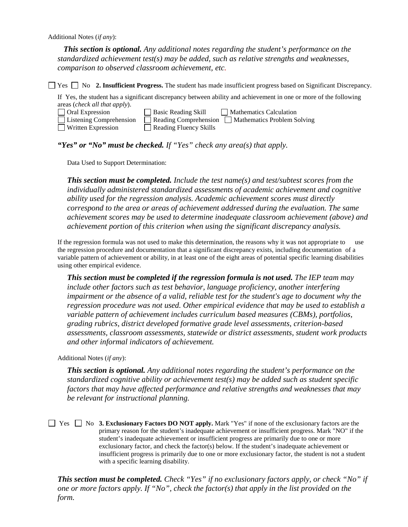*This section is optional. Any additional notes regarding the student's performance on the standardized achievement test(s) may be added, such as relative strengths and weaknesses, comparison to observed classroom achievement, etc.* 

 $\Box$  Yes  $\Box$  No **2. Insufficient Progress.** The student has made insufficient progress based on Significant Discrepancy.

If Yes, the student has a significant discrepancy between ability and achievement in one or more of the following areas (*check all that apply*).

| <b>Oral Expression</b>    | <b>Basic Reading Skill</b>    | Mathematics Calculation                           |
|---------------------------|-------------------------------|---------------------------------------------------|
| Listening Comprehension   |                               | Reading Comprehension Mathematics Problem Solving |
| <b>Written Expression</b> | $\Box$ Reading Fluency Skills |                                                   |

*"Yes" or "No" must be checked. If "Yes" check any area(s) that apply.* 

Data Used to Support Determination:

*This section must be completed. Include the test name(s) and test/subtest scores from the individually administered standardized assessments of academic achievement and cognitive ability used for the regression analysis. Academic achievement scores must directly correspond to the area or areas of achievement addressed during the evaluation. The same achievement scores may be used to determine inadequate classroom achievement (above) and achievement portion of this criterion when using the significant discrepancy analysis.*

If the regression formula was not used to make this determination, the reasons why it was not appropriate to use the regression procedure and documentation that a significant discrepancy exists, including documentation of a variable pattern of achievement or ability, in at least one of the eight areas of potential specific learning disabilities using other empirical evidence.

*This section must be completed if the regression formula is not used. The IEP team may include other factors such as test behavior, language proficiency, another interfering impairment or the absence of a valid, reliable test for the student's age to document why the regression procedure was not used. Other empirical evidence that may be used to establish a variable pattern of achievement includes curriculum based measures (CBMs), portfolios, grading rubrics, district developed formative grade level assessments, criterion-based assessments, classroom assessments, statewide or district assessments, student work products and other informal indicators of achievement.*

Additional Notes (*if any*):

*This section is optional. Any additional notes regarding the student's performance on the standardized cognitive ability or achievement test(s) may be added such as student specific factors that may have affected performance and relative strengths and weaknesses that may be relevant for instructional planning.* 

Yes No **3. Exclusionary Factors DO NOT apply.** Mark "Yes" if none of the exclusionary factors are the primary reason for the student's inadequate achievement or insufficient progress. Mark "NO" if the student's inadequate achievement or insufficient progress are primarily due to one or more exclusionary factor, and check the factor(s) below. If the student's inadequate achievement or insufficient progress is primarily due to one or more exclusionary factor, the student is not a student with a specific learning disability.

*This section must be completed. Check "Yes" if no exclusionary factors apply, or check "No" if one or more factors apply. If "No", check the factor(s) that apply in the list provided on the form.*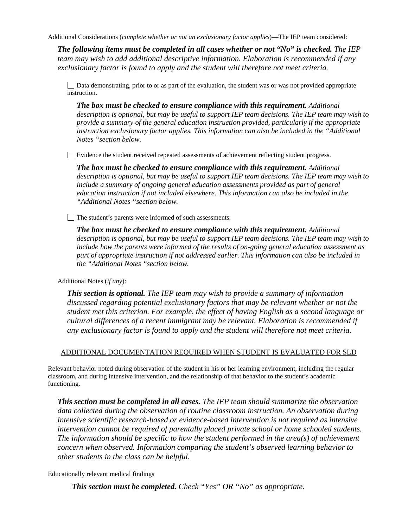Additional Considerations (*complete whether or not an exclusionary factor applies*)—The IEP team considered:

*The following items must be completed in all cases whether or not "No" is checked. The IEP team may wish to add additional descriptive information. Elaboration is recommended if any exclusionary factor is found to apply and the student will therefore not meet criteria.*

Data demonstrating, prior to or as part of the evaluation, the student was or was not provided appropriate instruction.

*The box must be checked to ensure compliance with this requirement. Additional description is optional, but may be useful to support IEP team decisions. The IEP team may wish to provide a summary of the general education instruction provided, particularly if the appropriate instruction exclusionary factor applies. This information can also be included in the "Additional Notes "section below.* 

Evidence the student received repeated assessments of achievement reflecting student progress.

*The box must be checked to ensure compliance with this requirement. Additional description is optional, but may be useful to support IEP team decisions. The IEP team may wish to include a summary of ongoing general education assessments provided as part of general education instruction if not included elsewhere. This information can also be included in the "Additional Notes "section below.*

The student's parents were informed of such assessments.

*The box must be checked to ensure compliance with this requirement. Additional description is optional, but may be useful to support IEP team decisions. The IEP team may wish to include how the parents were informed of the results of on-going general education assessment as part of appropriate instruction if not addressed earlier. This information can also be included in the "Additional Notes "section below.*

Additional Notes (*if any*):

*This section is optional. The IEP team may wish to provide a summary of information discussed regarding potential exclusionary factors that may be relevant whether or not the student met this criterion. For example, the effect of having English as a second language or cultural differences of a recent immigrant may be relevant. Elaboration is recommended if any exclusionary factor is found to apply and the student will therefore not meet criteria.*

### ADDITIONAL DOCUMENTATION REQUIRED WHEN STUDENT IS EVALUATED FOR SLD

Relevant behavior noted during observation of the student in his or her learning environment, including the regular classroom, and during intensive intervention, and the relationship of that behavior to the student's academic functioning.

*This section must be completed in all cases. The IEP team should summarize the observation data collected during the observation of routine classroom instruction. An observation during intensive scientific research-based or evidence-based intervention is not required as intensive intervention cannot be required of parentally placed private school or home schooled students. The information should be specific to how the student performed in the area(s) of achievement concern when observed. Information comparing the student's observed learning behavior to other students in the class can be helpful.* 

Educationally relevant medical findings

*This section must be completed. Check "Yes" OR "No" as appropriate.*